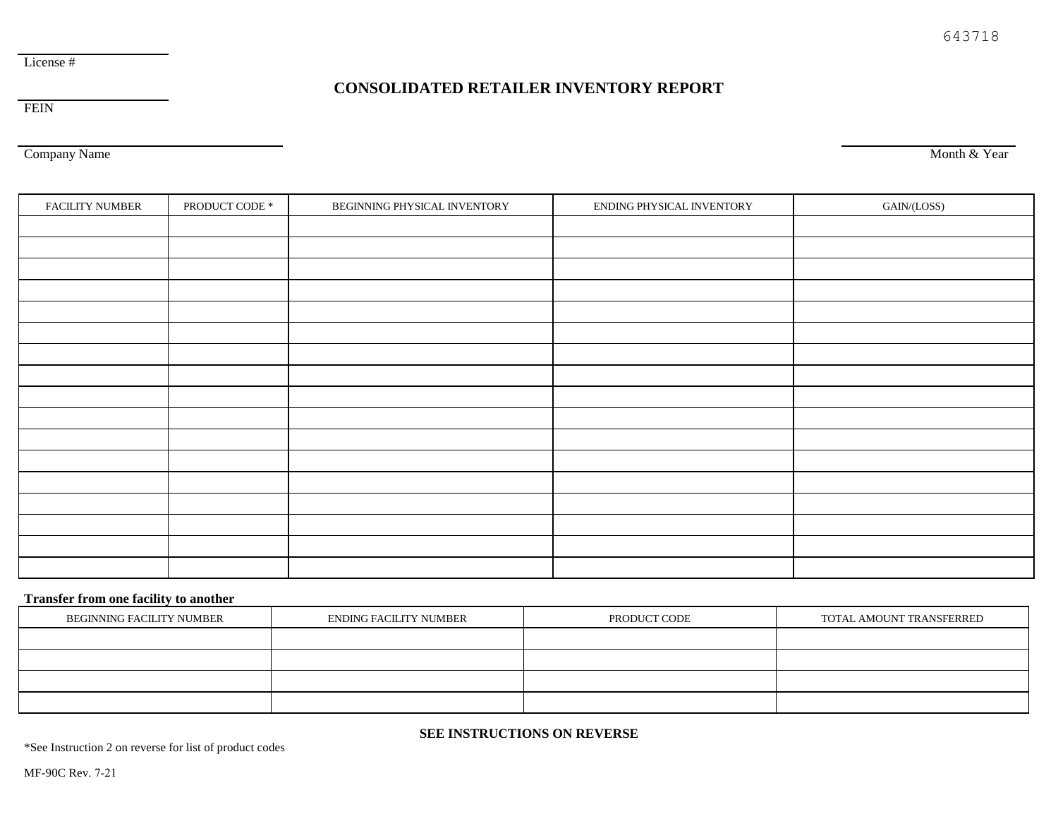## **CONSOLIDATED RETAILER INVENTORY REPORT**

FEIN

Company Name

Month & Year

| FACILITY NUMBER | PRODUCT CODE $^\ast$ | BEGINNING PHYSICAL INVENTORY | ENDING PHYSICAL INVENTORY | GAIN/(LOSS) |
|-----------------|----------------------|------------------------------|---------------------------|-------------|
|                 |                      |                              |                           |             |
|                 |                      |                              |                           |             |
|                 |                      |                              |                           |             |
|                 |                      |                              |                           |             |
|                 |                      |                              |                           |             |
|                 |                      |                              |                           |             |
|                 |                      |                              |                           |             |
|                 |                      |                              |                           |             |
|                 |                      |                              |                           |             |
|                 |                      |                              |                           |             |
|                 |                      |                              |                           |             |
|                 |                      |                              |                           |             |
|                 |                      |                              |                           |             |
|                 |                      |                              |                           |             |
|                 |                      |                              |                           |             |
|                 |                      |                              |                           |             |
|                 |                      |                              |                           |             |

## **Transfer from one facility to another**

| BEGINNING FACILITY NUMBER | ENDING FACILITY NUMBER | PRODUCT CODE | TOTAL AMOUNT TRANSFERRED |
|---------------------------|------------------------|--------------|--------------------------|
|                           |                        |              |                          |
|                           |                        |              |                          |
|                           |                        |              |                          |
|                           |                        |              |                          |

## **SEE INSTRUCTIONS ON REVERSE**

\*See Instruction 2 on reverse for list of product codes